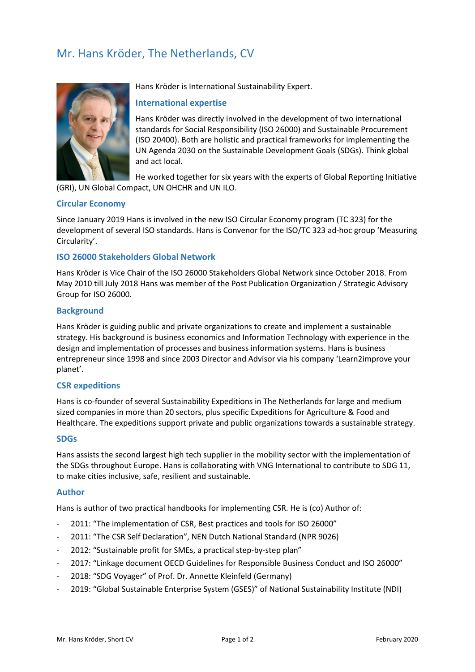# Mr. Hans Kröder, The Netherlands, CV



Hans Kröder is International Sustainability Expert.

# **International expertise**

Hans Kröder was directly involved in the development of two international standards for Social Responsibility (ISO 26000) and Sustainable Procurement (ISO 20400). Both are holistic and practical frameworks for implementing the UN Agenda 2030 on the Sustainable Development Goals (SDGs). Think global and act local.

He worked together for six years with the experts of Global Reporting Initiative (GRI), UN Global Compact, UN OHCHR and UN ILO.

# **Circular Economy**

Since January 2019 Hans is involved in the new ISO Circular Economy program (TC 323) for the development of several ISO standards. Hans is Convenor for the ISO/TC 323 ad-hoc group 'Measuring Circularity'.

# **ISO 26000 Stakeholders Global Network**

Hans Kröder is Vice Chair of the ISO 26000 Stakeholders Global Network since October 2018. From May 2010 till July 2018 Hans was member of the Post Publication Organization / Strategic Advisory Group for ISO 26000.

# **Background**

Hans Kröder is guiding public and private organizations to create and implement a sustainable strategy. His background is business economics and Information Technology with experience in the design and implementation of processes and business information systems. Hans is business entrepreneur since 1998 and since 2003 Director and Advisor via his company 'Learn2improve your planet'.

#### **CSR expeditions**

Hans is co-founder of several Sustainability Expeditions in The Netherlands for large and medium sized companies in more than 20 sectors, plus specific Expeditions for Agriculture & Food and Healthcare. The expeditions support private and public organizations towards a sustainable strategy.

#### **SDGs**

Hans assists the second largest high tech supplier in the mobility sector with the implementation of the SDGs throughout Europe. Hans is collaborating with VNG International to contribute to SDG 11, to make cities inclusive, safe, resilient and sustainable.

#### **Author**

Hans is author of two practical handbooks for implementing CSR. He is (co) Author of:

- 2011: "The implementation of CSR, Best practices and tools for ISO 26000"
- 2011: "The CSR Self Declaration", NEN Dutch National Standard (NPR 9026)
- 2012: "Sustainable profit for SMEs, a practical step-by-step plan"
- 2017: "Linkage document OECD Guidelines for Responsible Business Conduct and ISO 26000"
- 2018: "SDG Voyager" of Prof. Dr. Annette Kleinfeld (Germany)
- 2019: "Global Sustainable Enterprise System (GSES)" of National Sustainability Institute (NDI)